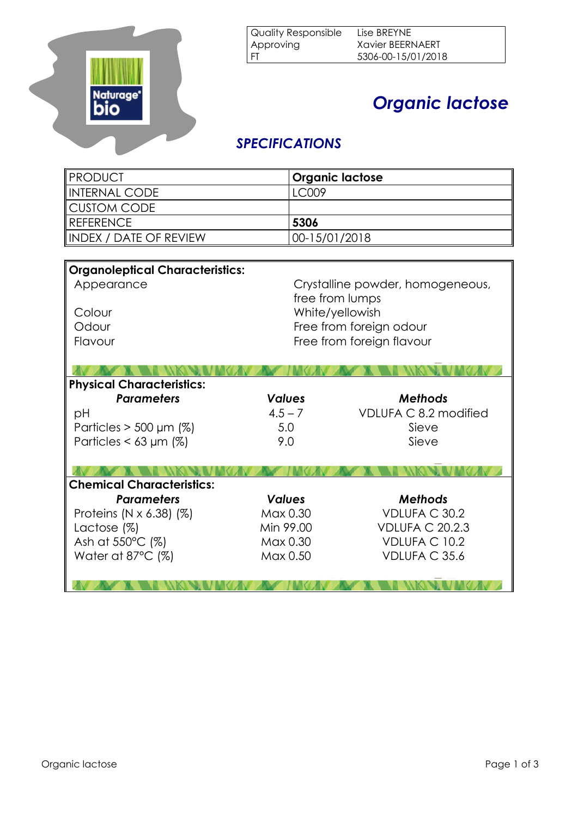

## *Organic lactose*

## *SPECIFICATIONS*

| <b>PRODUCT</b>                         |                                  | <b>Organic lactose</b>    |  |  |
|----------------------------------------|----------------------------------|---------------------------|--|--|
| <b>INTERNAL CODE</b>                   | LC009                            |                           |  |  |
| <b>CUSTOM CODE</b>                     |                                  |                           |  |  |
| <b>REFERENCE</b>                       | 5306                             |                           |  |  |
| <b>INDEX / DATE OF REVIEW</b>          |                                  | 00-15/01/2018             |  |  |
|                                        |                                  |                           |  |  |
| <b>Organoleptical Characteristics:</b> |                                  |                           |  |  |
| Appearance                             | Crystalline powder, homogeneous, |                           |  |  |
|                                        |                                  | free from lumps           |  |  |
| Colour                                 |                                  | White/yellowish           |  |  |
| Odour                                  |                                  | Free from foreign odour   |  |  |
| Flavour                                |                                  | Free from foreign flavour |  |  |
|                                        |                                  |                           |  |  |
|                                        |                                  |                           |  |  |
| <b>Physical Characteristics:</b>       |                                  |                           |  |  |
| <b>Parameters</b>                      | <b>Values</b>                    | <b>Methods</b>            |  |  |
| рH                                     | $4.5 - 7$                        | VDLUFA C 8.2 modified     |  |  |
| Particles $>$ 500 µm (%)               | 5.0                              | Sieve                     |  |  |
| Particles $<$ 63 µm (%)                | 9.0                              | Sieve                     |  |  |
|                                        |                                  |                           |  |  |
| <b>Chemical Characteristics:</b>       |                                  |                           |  |  |
| <b>Parameters</b>                      | <b>Values</b>                    | <b>Methods</b>            |  |  |
| Proteins (N $\times$ 6.38) (%)         | Max 0.30                         | VDLUFA C 30.2             |  |  |
| Lactose $(\%)$                         | Min 99.00                        | <b>VDLUFA C 20.2.3</b>    |  |  |
| Ash at 550°C (%)                       | Max 0.30                         | <b>VDLUFA C 10.2</b>      |  |  |
|                                        |                                  |                           |  |  |
| Water at 87 $^{\circ}$ C (%)           | Max 0.50                         | VDLUFA C 35.6             |  |  |
|                                        |                                  |                           |  |  |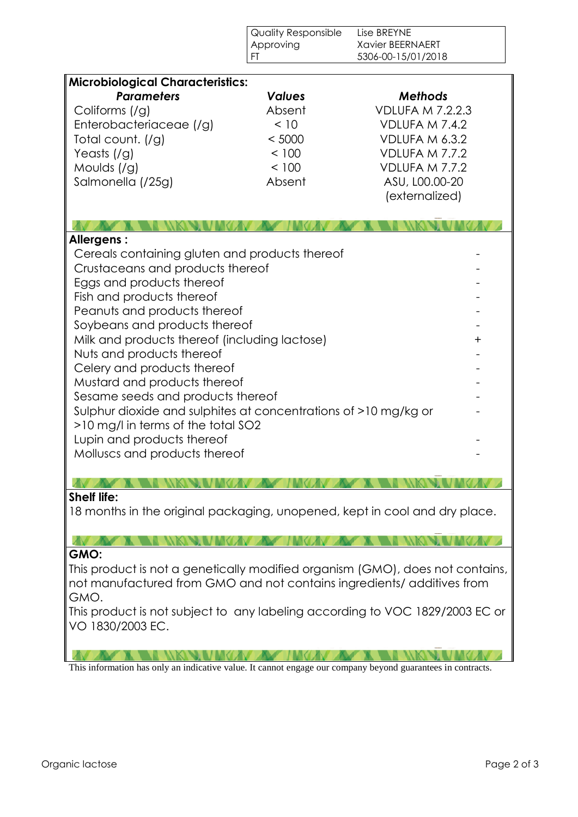|                                                                                                                                                                                                                                                                                                                                                                                                                                                                                                                                                                         | <b>Quality Responsible</b><br>Approving<br>FT                         | Lise BREYNE<br><b>Xavier BEERNAERT</b><br>5306-00-15/01/2018                                                                                          |           |
|-------------------------------------------------------------------------------------------------------------------------------------------------------------------------------------------------------------------------------------------------------------------------------------------------------------------------------------------------------------------------------------------------------------------------------------------------------------------------------------------------------------------------------------------------------------------------|-----------------------------------------------------------------------|-------------------------------------------------------------------------------------------------------------------------------------------------------|-----------|
|                                                                                                                                                                                                                                                                                                                                                                                                                                                                                                                                                                         |                                                                       |                                                                                                                                                       |           |
| <b>Microbiological Characteristics:</b><br><b>Parameters</b><br>Coliforms (/g)<br>Enterobacteriaceae (/g)<br>Total count. (/g)<br>Yeasts $($ /g $)$<br>Moulds $\left(\frac{1}{9}\right)$<br>Salmonella (/25g)                                                                                                                                                                                                                                                                                                                                                           | <b>Values</b><br>Absent<br>< 10<br>< 5000<br>< 100<br>< 100<br>Absent | <b>Methods</b><br><b>VDLUFA M 7.2.2.3</b><br>VDLUFA M 7.4.2<br>VDLUFA M 6.3.2<br>VDLUFA M 7.7.2<br>VDLUFA M 7.7.2<br>ASU, L00.00-20<br>(externalized) |           |
| Allergens:                                                                                                                                                                                                                                                                                                                                                                                                                                                                                                                                                              |                                                                       |                                                                                                                                                       |           |
| Cereals containing gluten and products thereof<br>Crustaceans and products thereof<br>Eggs and products thereof<br>Fish and products thereof<br>Peanuts and products thereof<br>Soybeans and products thereof<br>Milk and products thereof (including lactose)<br>Nuts and products thereof<br>Celery and products thereof<br>Mustard and products thereof<br>Sesame seeds and products thereof<br>Sulphur dioxide and sulphites at concentrations of >10 mg/kg or<br>>10 mg/l in terms of the total SO2<br>Lupin and products thereof<br>Molluscs and products thereof |                                                                       |                                                                                                                                                       | $\ddot{}$ |
|                                                                                                                                                                                                                                                                                                                                                                                                                                                                                                                                                                         |                                                                       |                                                                                                                                                       |           |
| <b>Shelf life:</b><br>18 months in the original packaging, unopened, kept in cool and dry place.                                                                                                                                                                                                                                                                                                                                                                                                                                                                        |                                                                       |                                                                                                                                                       |           |
| GMO:                                                                                                                                                                                                                                                                                                                                                                                                                                                                                                                                                                    |                                                                       |                                                                                                                                                       |           |
| This product is not a genetically modified organism (GMO), does not contains,<br>not manufactured from GMO and not contains ingredients/ additives from<br>GMO.<br>This product is not subject to any labeling according to VOC 1829/2003 EC or<br>VO 1830/2003 EC.                                                                                                                                                                                                                                                                                                     |                                                                       |                                                                                                                                                       |           |
| This information has only an indicative value. It cannot engage our company beyond guarantees in contracts.                                                                                                                                                                                                                                                                                                                                                                                                                                                             |                                                                       |                                                                                                                                                       |           |